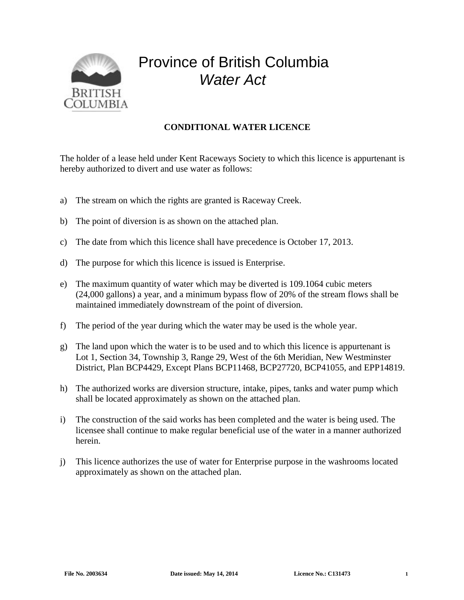

## Province of British Columbia *Water Act*

## **CONDITIONAL WATER LICENCE**

The holder of a lease held under Kent Raceways Society to which this licence is appurtenant is hereby authorized to divert and use water as follows:

- a) The stream on which the rights are granted is Raceway Creek.
- b) The point of diversion is as shown on the attached plan.
- c) The date from which this licence shall have precedence is October 17, 2013.
- d) The purpose for which this licence is issued is Enterprise.
- e) The maximum quantity of water which may be diverted is 109.1064 cubic meters (24,000 gallons) a year, and a minimum bypass flow of 20% of the stream flows shall be maintained immediately downstream of the point of diversion.
- f) The period of the year during which the water may be used is the whole year.
- g) The land upon which the water is to be used and to which this licence is appurtenant is Lot 1, Section 34, Township 3, Range 29, West of the 6th Meridian, New Westminster District, Plan BCP4429, Except Plans BCP11468, BCP27720, BCP41055, and EPP14819.
- h) The authorized works are diversion structure, intake, pipes, tanks and water pump which shall be located approximately as shown on the attached plan.
- i) The construction of the said works has been completed and the water is being used. The licensee shall continue to make regular beneficial use of the water in a manner authorized herein.
- j) This licence authorizes the use of water for Enterprise purpose in the washrooms located approximately as shown on the attached plan.